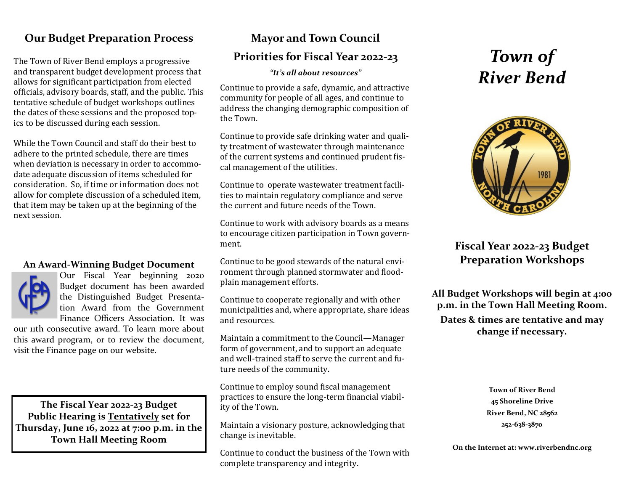# **Our Budget Preparation Process**

The Town of River Bend employs a progressive and transparent budget development process that allows for significant participation from elected officials, advisory boards, staff, and the public. This tentative schedule of budget workshops outlines the dates of these sessions and the proposed topics to be discussed during each session.

While the Town Council and staff do their best to adhere to the printed schedule, there are times when deviation is necessary in order to accommodate adequate discussion of items scheduled for consideration. So, if time or information does not allow for complete discussion of a scheduled item, that item may be taken up at the beginning of the next session.

# **An Award-Winning Budget Document**



Our Fiscal Year beginning 2020 Budget document has been awarded the Distinguished Budget Presentation Award from the Government Finance Officers Association. It was

our 11th consecutive award. To learn more about this award program, or to review the document, visit the Finance page on our website.

**The Fiscal Year 2022-23 Budget Public Hearing is Tentatively set for Thursday, June 16, 2022 at 7:00 p.m. in the Town Hall Meeting Room** 

# **Mayor and Town Council**

# **Priorities for Fiscal Year 2022-23**

*"It's all about resources"*

Continue to provide a safe, dynamic, and attractive community for people of all ages, and continue to address the changing demographic composition of the Town.

Continue to provide safe drinking water and quality treatment of wastewater through maintenance of the current systems and continued prudent fiscal management of the utilities.

Continue to operate wastewater treatment facilities to maintain regulatory compliance and serve the current and future needs of the Town.

Continue to work with advisory boards as a means to encourage citizen participation in Town government.

Continue to be good stewards of the natural environment through planned stormwater and floodplain management efforts.

Continue to cooperate regionally and with other municipalities and, where appropriate, share ideas and resources.

Maintain a commitment to the Council—Manager form of government, and to support an adequate and well-trained staff to serve the current and future needs of the community.

Continue to employ sound fiscal management practices to ensure the long-term financial viability of the Town.

Maintain a visionary posture, acknowledging that change is inevitable.

Continue to conduct the business of the Town with complete transparency and integrity.

# *Town of River Bend*



# **Fiscal Year 2022-23 Budget Preparation Workshops**

**All Budget Workshops will begin at 4:00 p.m. in the Town Hall Meeting Room.**

**Dates & times are tentative and may change if necessary.**

> **Town of River Bend 45 Shoreline Drive River Bend, NC 28562 252-638-3870**

**On the Internet at: www.riverbendnc.org**